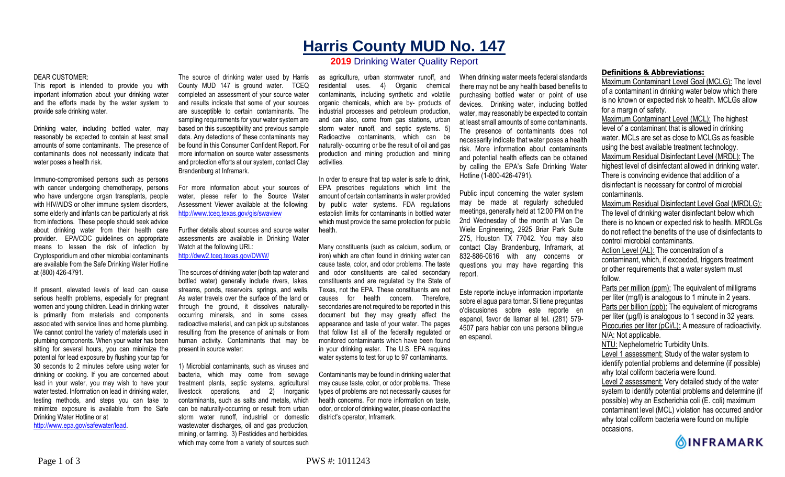# **Harris County MUD No. 147**

# **2019** Drinking Water Quality Report

#### DEAR CUSTOMER:

This report is intended to provide you with important information about your drinking water and the efforts made by the water system to provide safe drinking water.

Drinking water, including bottled water, may reasonably be expected to contain at least small amounts of some contaminants. The presence of contaminants does not necessarily indicate that water poses a health risk.

Immuno-compromised persons such as persons with cancer undergoing chemotherapy, persons who have undergone organ transplants, people with HIV/AIDS or other immune system disorders, some elderly and infants can be particularly at risk from infections. These people should seek advice about drinking water from their health care provider. EPA/CDC guidelines on appropriate means to lessen the risk of infection by Cryptosporidium and other microbial contaminants are available from the Safe Drinking Water Hotline at (800) 426-4791.

If present, elevated levels of lead can cause serious health problems, especially for pregnant women and young children. Lead in drinking water is primarily from materials and components associated with service lines and home plumbing. We cannot control the variety of materials used in plumbing components. When your water has been sitting for several hours, you can minimize the potential for lead exposure by flushing your tap for 30 seconds to 2 minutes before using water for drinking or cooking. If you are concerned about lead in your water, you may wish to have your water tested. Information on lead in drinking water, testing methods, and steps you can take to minimize exposure is available from the Safe Drinking Water Hotline or at http://www.epa.gov/safewater/lead.

The source of drinking water used by Harris County MUD 147 is ground water. TCEQ completed an assessment of your source water and results indicate that some of your sources are susceptible to certain contaminants. The sampling requirements for your water system are based on this susceptibility and previous sample data. Any detections of these contaminants may be found in this Consumer Confident Report. For more information on source water assessments and protection efforts at our system, contact Clay Brandenburg at Inframark.

For more information about your sources of water, please refer to the Source Water Assessment Viewer available at the following: http://www.tceq.texas.gov/gis/swaview

Further details about sources and source water assessments are available in Drinking Water Watch at the following URL: http://dww2.tceq.texas.gov/DWW/

The sources of drinking water (both tap water and bottled water) generally include rivers, lakes, streams, ponds, reservoirs, springs, and wells. As water travels over the surface of the land or through the ground, it dissolves naturallyoccurring minerals, and in some cases, radioactive material, and can pick up substances resulting from the presence of animals or from human activity. Contaminants that may be present in source water:

1) Microbial contaminants, such as viruses and bacteria, which may come from sewage treatment plants, septic systems, agricultural livestock operations, and 2) Inorganic contaminants, such as salts and metals, which can be naturally-occurring or result from urban storm water runoff, industrial or domestic wastewater discharges, oil and gas production, mining, or farming. 3) Pesticides and herbicides, which may come from a variety of sources such

as agriculture, urban stormwater runoff, and residential uses. 4) Organic chemical contaminants, including synthetic and volatile organic chemicals, which are by- products of industrial processes and petroleum production, and can also, come from gas stations, urban storm water runoff, and septic systems. 5) Radioactive contaminants, which can be naturally- occurring or be the result of oil and gas production and mining production and mining activities.

In order to ensure that tap water is safe to drink, EPA prescribes regulations which limit the amount of certain contaminants in water provided by public water systems. FDA regulations establish limits for contaminants in bottled water which must provide the same protection for public health.

Many constituents (such as calcium, sodium, or iron) which are often found in drinking water can cause taste, color, and odor problems. The taste and odor constituents are called secondary constituents and are regulated by the State of Texas, not the EPA. These constituents are not causes for health concern. Therefore, secondaries are not required to be reported in this document but they may greatly affect the appearance and taste of your water. The pages that follow list all of the federally regulated or monitored contaminants which have been found in your drinking water. The U.S. EPA requires water systems to test for up to 97 contaminants.

Contaminants may be found in drinking water that may cause taste, color, or odor problems. These types of problems are not necessarily causes for health concerns. For more information on taste, odor, or color of drinking water, please contact the district's operator, Inframark.

When drinking water meets federal standards there may not be any health based benefits to purchasing bottled water or point of use devices. Drinking water, including bottled water, may reasonably be expected to contain at least small amounts of some contaminants. The presence of contaminants does not necessarily indicate that water poses a health risk. More information about contaminants and potential health effects can be obtained by calling the EPA's Safe Drinking Water Hotline (1-800-426-4791).

Public input concerning the water system may be made at regularly scheduled meetings, generally held at 12:00 PM on the 2nd Wednesday of the month at Van De Wiele Engineering, 2925 Briar Park Suite 275, Houston TX 77042. You may also contact Clay Brandenburg, Inframark, at 832-886-0616 with any concerns or questions you may have regarding this report.

Este reporte incluye informacion importante sobre el agua para tomar. Si tiene preguntas o'discusiones sobre este reporte en espanol, favor de llamar al tel. (281) 579- 4507 para hablar con una persona bilingue en espanol.

## **Definitions & Abbreviations:**

Maximum Contaminant Level Goal (MCLG): The level of a contaminant in drinking water below which there is no known or expected risk to health. MCLGs allow for a margin of safety.

Maximum Contaminant Level (MCL): The highest level of a contaminant that is allowed in drinking water. MCLs are set as close to MCLGs as feasible using the best available treatment technology. Maximum Residual Disinfectant Level (MRDL): The highest level of disinfectant allowed in drinking water. There is convincing evidence that addition of a disinfectant is necessary for control of microbial contaminants.

Maximum Residual Disinfectant Level Goal (MRDLG): The level of drinking water disinfectant below which there is no known or expected risk to health. MRDLGs do not reflect the benefits of the use of disinfectants to control microbial contaminants.

Action Level (AL): The concentration of a contaminant, which, if exceeded, triggers treatment or other requirements that a water system must follow.

Parts per million (ppm): The equivalent of milligrams per liter (mg/l) is analogous to 1 minute in 2 years. Parts per billion (ppb): The equivalent of micrograms per liter  $(\mu g/l)$  is analogous to 1 second in 32 years. Picocuries per liter (pCi/L): A measure of radioactivity. N/A: Not applicable. NTU: Nephelometric Turbidity Units.

Level 1 assessment: Study of the water system to identify potential problems and determine (if possible) why total coliform bacteria were found. Level 2 assessment: Very detailed study of the water system to identify potential problems and determine (if possible) why an Escherichia coli (E. coli) maximum contaminant level (MCL) violation has occurred and/or why total coliform bacteria were found on multiple

occasions.

**OINFRAMARK**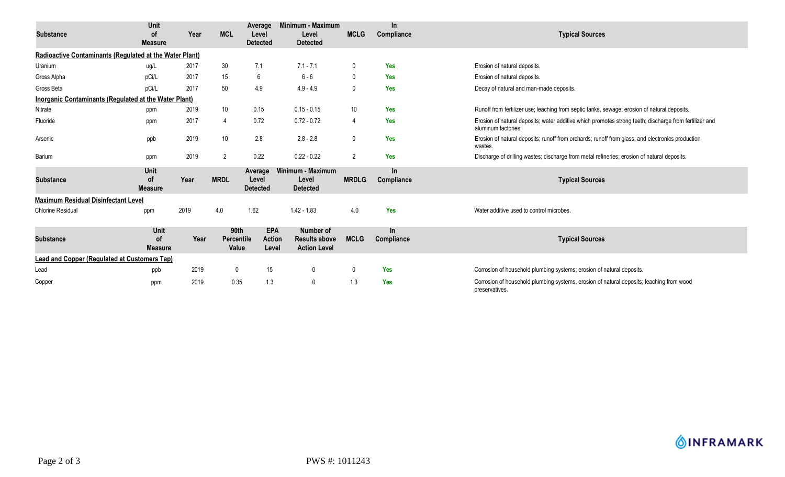| <b>Substance</b>                                             | Unit<br><b>of</b><br><b>Measure</b>        | Year | <b>MCL</b>                  | Average<br>Level<br><b>Detected</b>  | Minimum - Maximum<br>Level<br><b>Detected</b>            | <b>MCLG</b>     | $\ln$<br>Compliance | <b>Typical Sources</b>                                                                                                        |
|--------------------------------------------------------------|--------------------------------------------|------|-----------------------------|--------------------------------------|----------------------------------------------------------|-----------------|---------------------|-------------------------------------------------------------------------------------------------------------------------------|
| Radioactive Contaminants (Regulated at the Water Plant)      |                                            |      |                             |                                      |                                                          |                 |                     |                                                                                                                               |
| Uranium                                                      | ug/L                                       | 2017 | 30 <sup>°</sup>             | 7.1                                  | $7.1 - 7.1$                                              | 0               | Yes                 | Erosion of natural deposits.                                                                                                  |
| Gross Alpha                                                  | pCi/L                                      | 2017 | 15                          | 6                                    | $6 - 6$                                                  | $\mathbf{0}$    | Yes                 | Erosion of natural deposits.                                                                                                  |
| Gross Beta                                                   | pCi/L                                      | 2017 | 50                          | 4.9                                  | $4.9 - 4.9$                                              | $\mathbf 0$     | <b>Yes</b>          | Decay of natural and man-made deposits.                                                                                       |
| <b>Inorganic Contaminants (Regulated at the Water Plant)</b> |                                            |      |                             |                                      |                                                          |                 |                     |                                                                                                                               |
| Nitrate                                                      | ppm                                        | 2019 | 10 <sup>°</sup>             | 0.15                                 | $0.15 - 0.15$                                            | 10 <sup>°</sup> | <b>Yes</b>          | Runoff from fertilizer use; leaching from septic tanks, sewage; erosion of natural deposits.                                  |
| Fluoride                                                     | ppm                                        | 2017 | 4                           | 0.72                                 | $0.72 - 0.72$                                            | 4               | Yes                 | Erosion of natural deposits; water additive which promotes strong teeth; discharge from fertilizer and<br>aluminum factories. |
| Arsenic                                                      | ppb                                        | 2019 | 10 <sup>°</sup>             | 2.8                                  | $2.8 - 2.8$                                              | $\mathbf 0$     | <b>Yes</b>          | Erosion of natural deposits; runoff from orchards; runoff from glass, and electronics production<br>wastes.                   |
| Barium                                                       | ppm                                        | 2019 | $\overline{2}$              | 0.22                                 | $0.22 - 0.22$                                            | 2               | Yes                 | Discharge of drilling wastes; discharge from metal refineries; erosion of natural deposits.                                   |
| <b>Substance</b>                                             | <b>Unit</b><br><b>of</b><br><b>Measure</b> | Year | <b>MRDL</b>                 | Average<br>Level<br><b>Detected</b>  | Minimum - Maximum<br>Level<br><b>Detected</b>            | <b>MRDLG</b>    | In.<br>Compliance   | <b>Typical Sources</b>                                                                                                        |
| <b>Maximum Residual Disinfectant Level</b>                   |                                            |      |                             |                                      |                                                          |                 |                     |                                                                                                                               |
| <b>Chlorine Residual</b>                                     | ppm                                        | 2019 | 4.0                         | 1.62                                 | $1.42 - 1.83$                                            | 4.0             | Yes                 | Water additive used to control microbes.                                                                                      |
| <b>Substance</b>                                             | Unit<br><b>of</b><br><b>Measure</b>        | Year | 90th<br>Percentile<br>Value | <b>EPA</b><br><b>Action</b><br>Level | Number of<br><b>Results above</b><br><b>Action Level</b> | <b>MCLG</b>     | In<br>Compliance    | <b>Typical Sources</b>                                                                                                        |
| <b>Lead and Copper (Regulated at Customers Tap)</b>          |                                            |      |                             |                                      |                                                          |                 |                     |                                                                                                                               |
| Lead                                                         | ppb                                        | 2019 | 0                           | 15                                   | $\mathbf 0$                                              | 0               | <b>Yes</b>          | Corrosion of household plumbing systems; erosion of natural deposits.                                                         |
| Copper                                                       | ppm                                        | 2019 | 0.35                        | 1.3                                  | 0                                                        | 1.3             | <b>Yes</b>          | Corrosion of household plumbing systems, erosion of natural deposits; leaching from wood<br>preservatives.                    |